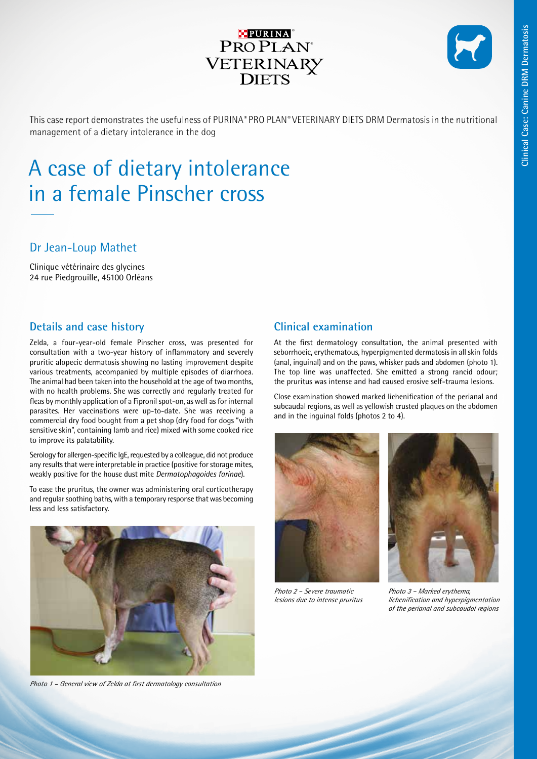

**Clinical Case: Canine DRM Dermatosis** Clinical Case: Canine DRM Dermatosis

This case report demonstrates the usefulness of PURINA*®* PRO PLAN*®* VETERINARY DIETS DRM Dermatosis in the nutritional management of a dietary intolerance in the dog

# A case of dietary intolerance in a female Pinscher cross

# Dr Jean-Loup Mathet

Clinique vétérinaire des glycines 24 rue Piedgrouille, 45100 Orléans

#### **Details and case history**

Zelda, a four-year-old female Pinscher cross, was presented for consultation with a two-year history of inflammatory and severely pruritic alopecic dermatosis showing no lasting improvement despite various treatments, accompanied by multiple episodes of diarrhoea. The animal had been taken into the household at the age of two months, with no health problems. She was correctly and regularly treated for fleas by monthly application of a Fipronil spot-on, as well as for internal parasites. Her vaccinations were up-to-date. She was receiving a commercial dry food bought from a pet shop (dry food for dogs "with sensitive skin", containing lamb and rice) mixed with some cooked rice to improve its palatability.

Serology for allergen-specific IgE, requested by a colleague, did not produce any results that were interpretable in practice (positive for storage mites, weakly positive for the house dust mite *Dermatophagoides farinae*).

To ease the pruritus, the owner was administering oral corticotherapy and regular soothing baths, with a temporary response that was becoming less and less satisfactory.



*Photo 1 – General view of Zelda at first dermatology consultation*

## **Clinical examination**

At the first dermatology consultation, the animal presented with seborrhoeic, erythematous, hyperpigmented dermatosis in all skin folds (anal, inguinal) and on the paws, whisker pads and abdomen (photo 1). The top line was unaffected. She emitted a strong rancid odour; the pruritus was intense and had caused erosive self-trauma lesions.

Close examination showed marked lichenification of the perianal and subcaudal regions, as well as yellowish crusted plaques on the abdomen and in the inguinal folds (photos 2 to 4).





*Photo 2 – Severe traumatic lesions due to intense pruritus*

*Photo 3 – Marked erythema, lichenification and hyperpigmentation of the perianal and subcaudal regions*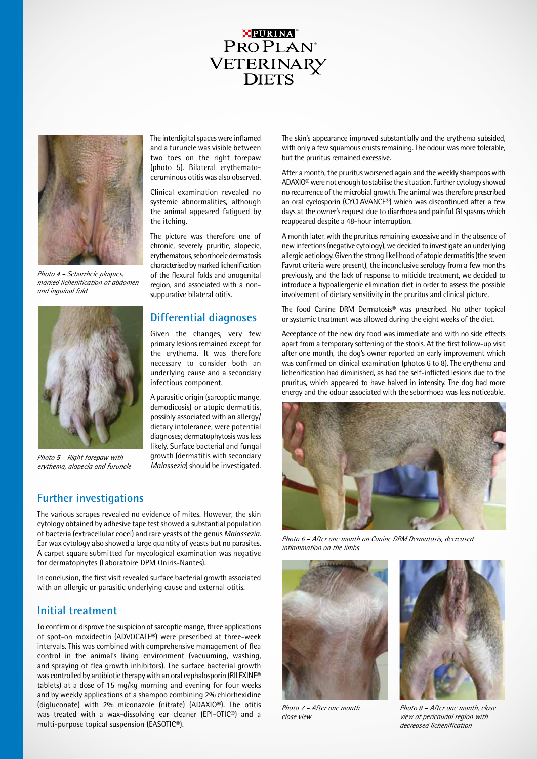



*Photo 4 – Seborrheic plaques, marked lichenification of abdomen and inguinal fold*



*Photo 5 – Right forepaw with erythema, alopecia and furuncle*

#### **Further investigations**

The interdigital spaces were inflamed and a furuncle was visible between two toes on the right forepaw (photo 5). Bilateral erythematoceruminous otitis was also observed.

Clinical examination revealed no systemic abnormalities, although the animal appeared fatigued by the itching.

The picture was therefore one of chronic, severely pruritic, alopecic, erythematous, seborrhoeic dermatosis characterised by marked lichenification of the flexural folds and anogenital region, and associated with a nonsuppurative bilateral otitis.

#### **Differential diagnoses**

Given the changes, very few primary lesions remained except for the erythema. It was therefore necessary to consider both an underlying cause and a secondary infectious component.

A parasitic origin (sarcoptic mange, demodicosis) or atopic dermatitis, possibly associated with an allergy/ dietary intolerance, were potential diagnoses; dermatophytosis was less likely. Surface bacterial and fungal growth (dermatitis with secondary *Malassezia*) should be investigated.

The various scrapes revealed no evidence of mites. However, the skin cytology obtained by adhesive tape test showed a substantial population of bacteria (extracellular cocci) and rare yeasts of the genus *Malassezia*. Ear wax cytology also showed a large quantity of yeasts but no parasites. A carpet square submitted for mycological examination was negative for dermatophytes (Laboratoire DPM Oniris-Nantes).

In conclusion, the first visit revealed surface bacterial growth associated with an allergic or parasitic underlying cause and external otitis.

#### **Initial treatment**

To confirm or disprove the suspicion of sarcoptic mange, three applications of spot-on moxidectin (ADVOCATE®) were prescribed at three-week intervals. This was combined with comprehensive management of flea control in the animal's living environment (vacuuming, washing, and spraying of flea growth inhibitors). The surface bacterial growth was controlled by antibiotic therapy with an oral cephalosporin (RILEXINE® tablets) at a dose of 15 mg/kg morning and evening for four weeks and by weekly applications of a shampoo combining 2% chlorhexidine (digluconate) with 2% miconazole (nitrate) (ADAXIO®). The otitis was treated with a wax-dissolving ear cleaner (EPI-OTIC®) and a multi-purpose topical suspension (EASOTIC®).

The skin's appearance improved substantially and the erythema subsided, with only a few squamous crusts remaining. The odour was more tolerable, but the pruritus remained excessive.

After a month, the pruritus worsened again and the weekly shampoos with ADAXIO® were not enough to stabilise the situation. Further cytology showed no recurrence of the microbial growth. The animal was therefore prescribed an oral cyclosporin (CYCLAVANCE®) which was discontinued after a few days at the owner's request due to diarrhoea and painful GI spasms which reappeared despite a 48-hour interruption.

A month later, with the pruritus remaining excessive and in the absence of new infections (negative cytology), we decided to investigate an underlying allergic aetiology. Given the strong likelihood of atopic dermatitis (the seven Favrot criteria were present), the inconclusive serology from a few months previously, and the lack of response to miticide treatment, we decided to introduce a hypoallergenic elimination diet in order to assess the possible involvement of dietary sensitivity in the pruritus and clinical picture.

The food Canine DRM Dermatosis® was prescribed. No other topical or systemic treatment was allowed during the eight weeks of the diet.

Acceptance of the new dry food was immediate and with no side effects apart from a temporary softening of the stools. At the first follow-up visit after one month, the dog's owner reported an early improvement which was confirmed on clinical examination (photos 6 to 8). The erythema and lichenification had diminished, as had the self-inflicted lesions due to the pruritus, which appeared to have halved in intensity. The dog had more energy and the odour associated with the seborrhoea was less noticeable.



*Photo 6 – After one month on Canine DRM Dermatosis, decreased inflammation on the limbs*



*Photo 7 – After one month close view*



*Photo 8 – After one month, close view of pericaudal region with decreased lichenification*